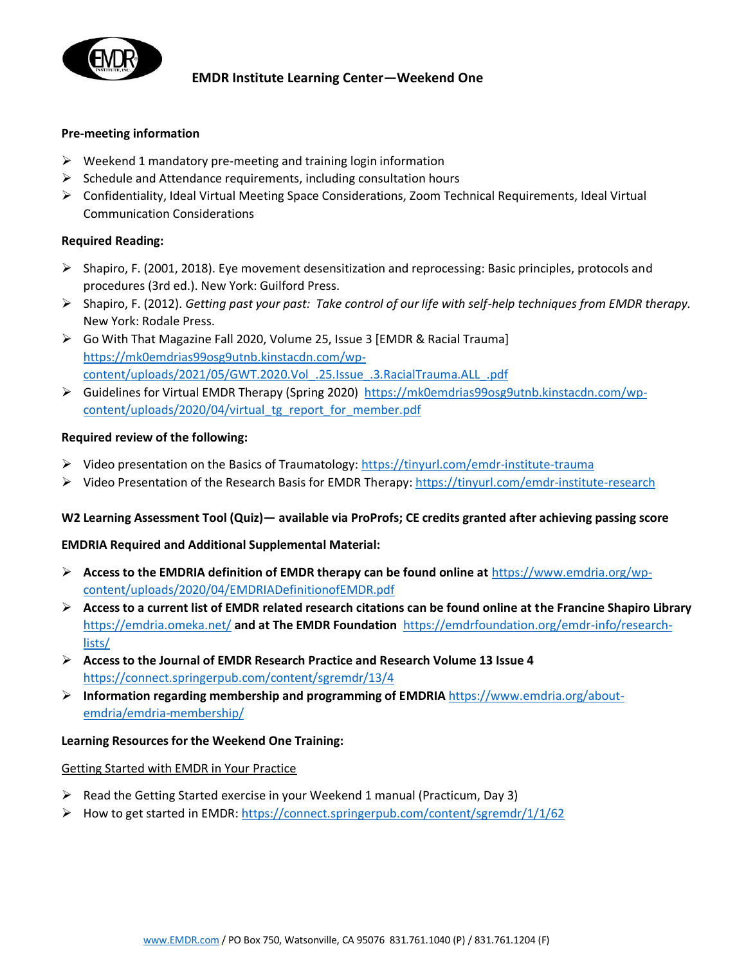

# **EMDR Institute Learning Center—Weekend One**

#### **Pre-meeting information**

- $\triangleright$  Weekend 1 mandatory pre-meeting and training login information
- $\triangleright$  Schedule and Attendance requirements, including consultation hours
- ➢ Confidentiality, Ideal Virtual Meeting Space Considerations, Zoom Technical Requirements, Ideal Virtual Communication Considerations

## **Required Reading:**

- ➢ Shapiro, F. (2001, 2018). Eye movement desensitization and reprocessing: Basic principles, protocols and procedures (3rd ed.). New York: Guilford Press.
- ➢ Shapiro, F. (2012). *Getting past your past: Take control of our life with self-help techniques from EMDR therapy.*  New York: Rodale Press.
- ➢ Go With That Magazine Fall 2020, Volume 25, Issue 3 [EMDR & Racial Trauma] [https://mk0emdrias99osg9utnb.kinstacdn.com/wp](https://mk0emdrias99osg9utnb.kinstacdn.com/wp-content/uploads/2021/05/GWT.2020.Vol_.25.Issue_.3.RacialTrauma.ALL_.pdf)[content/uploads/2021/05/GWT.2020.Vol\\_.25.Issue\\_.3.RacialTrauma.ALL\\_.pdf](https://mk0emdrias99osg9utnb.kinstacdn.com/wp-content/uploads/2021/05/GWT.2020.Vol_.25.Issue_.3.RacialTrauma.ALL_.pdf)
- ➢ Guidelines for Virtual EMDR Therapy (Spring 2020) [https://mk0emdrias99osg9utnb.kinstacdn.com/wp](https://mk0emdrias99osg9utnb.kinstacdn.com/wp-content/uploads/2020/04/virtual_tg_report_for_member.pdf)[content/uploads/2020/04/virtual\\_tg\\_report\\_for\\_member.pdf](https://mk0emdrias99osg9utnb.kinstacdn.com/wp-content/uploads/2020/04/virtual_tg_report_for_member.pdf)

## **Required review of the following:**

- $\triangleright$  Video presentation on the Basics of Traumatology:<https://tinyurl.com/emdr-institute-trauma>
- ➢ Video Presentation of the Research Basis for EMDR Therapy:<https://tinyurl.com/emdr-institute-research>

## **W2 Learning Assessment Tool (Quiz)— available via ProProfs; CE credits granted after achieving passing score**

## **EMDRIA Required and Additional Supplemental Material:**

- ➢ **Access to the EMDRIA definition of EMDR therapy can be found online at** [https://www.emdria.org/wp](https://www.emdria.org/wp-content/uploads/2020/04/EMDRIADefinitionofEMDR.pdf)[content/uploads/2020/04/EMDRIADefinitionofEMDR.pdf](https://www.emdria.org/wp-content/uploads/2020/04/EMDRIADefinitionofEMDR.pdf)
- ➢ **Access to a current list of EMDR related research citations can be found online at the Francine Shapiro Library**  <https://emdria.omeka.net/> **and at The EMDR Foundation** [https://emdrfoundation.org/emdr-info/research](https://emdrfoundation.org/emdr-info/research-lists/)[lists/](https://emdrfoundation.org/emdr-info/research-lists/)
- ➢ **Access to the Journal of EMDR Research Practice and Research Volume 13 Issue 4**  <https://connect.springerpub.com/content/sgremdr/13/4>
- ➢ **Information regarding membership and programming of EMDRIA** [https://www.emdria.org/about](https://www.emdria.org/about-emdria/emdria-membership/)[emdria/emdria-membership/](https://www.emdria.org/about-emdria/emdria-membership/)

## **Learning Resources for the Weekend One Training:**

## Getting Started with EMDR in Your Practice

- ➢ Read the Getting Started exercise in your Weekend 1 manual (Practicum, Day 3)
- ➢ How to get started in EMDR: [https://connect.springerpub.com/content/sgremdr/1/1/62](https://urldefense.proofpoint.com/v2/url?u=https-3A__connect.springerpub.com_content_sgremdr_1_1_62&d=DwMFAg&c=euGZstcaTDllvimEN8b7jXrwqOf-v5A_CdpgnVfiiMM&r=3_S7war6jTkJK0V-1QFvRrcJz3Kx-TE9ZkQlRWUN7EY&m=5HzeX8Bjf5pjjTKhxtsKjtSaxPWdEnyfMLMP9IUhjIE&s=u1Lu-XUavkWgjRqlj47ARFctr8u78PZ__WofjonMqeY&e=)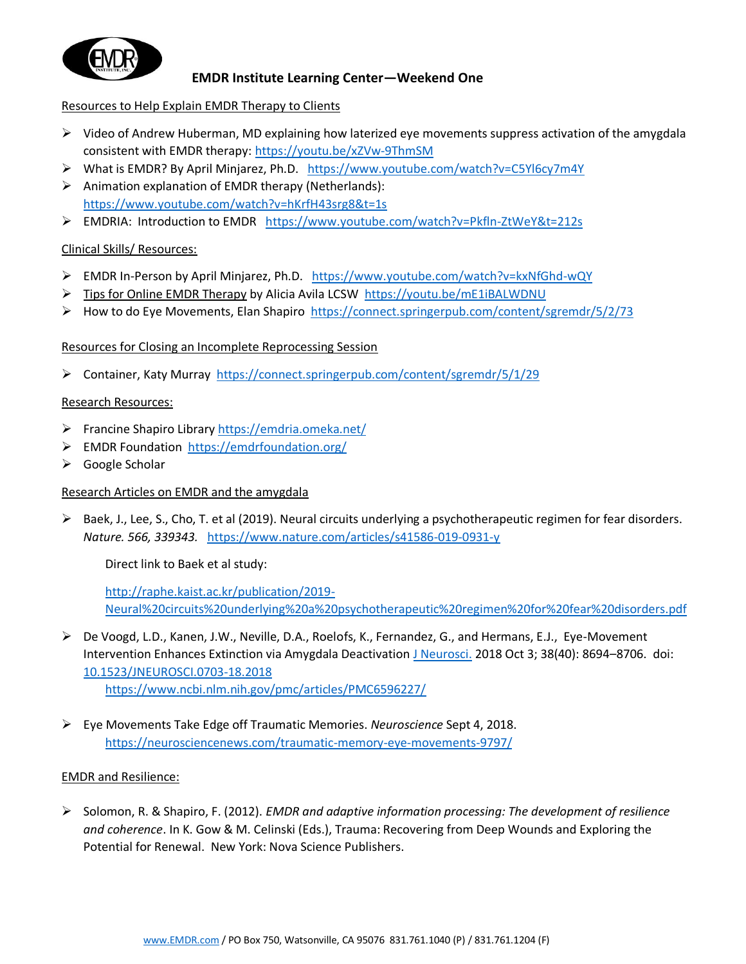

# **EMDR Institute Learning Center—Weekend One**

## Resources to Help Explain EMDR Therapy to Clients

- $\triangleright$  Video of Andrew Huberman, MD explaining how laterized eye movements suppress activation of the amygdala consistent with EMDR therapy: [https://youtu.be/xZVw-9ThmSM](https://na01.safelinks.protection.outlook.com/?url=https%3A%2F%2Fyoutu.be%2FxZVw-9ThmSM&data=04%7C01%7C%7C6d9ef11ea38640768c8808d909cf7e27%7C84df9e7fe9f640afb435aaaaaaaaaaaa%7C1%7C0%7C637551609035821466%7CUnknown%7CTWFpbGZsb3d8eyJWIjoiMC4wLjAwMDAiLCJQIjoiV2luMzIiLCJBTiI6Ik1haWwiLCJXVCI6Mn0%3D%7C1000&sdata=udlpD3ocGZoFuv2RSyws0KfZwoIdk3sPihQ11FvskGg%3D&reserved=0)
- ➢ What is EMDR? By April Minjarez, Ph.D. <https://www.youtube.com/watch?v=C5Yl6cy7m4Y>
- ➢ Animation explanation of EMDR therapy (Netherlands): <https://www.youtube.com/watch?v=hKrfH43srg8&t=1s>
- ➢ EMDRIA: Introduction to EMDR <https://www.youtube.com/watch?v=Pkfln-ZtWeY&t=212s>

## Clinical Skills/ Resources:

- ➢ EMDR In-Person by April Minjarez, Ph.D. <https://www.youtube.com/watch?v=kxNfGhd-wQY>
- ➢ Tips for Online EMDR Therapy by Alicia Avila LCSW <https://youtu.be/mE1iBALWDNU>
- $\triangleright$  How to do Eye Movements, Elan Shapiro <https://connect.springerpub.com/content/sgremdr/5/2/73>

Resources for Closing an Incomplete Reprocessing Session

➢ Container, Katy Murray <https://connect.springerpub.com/content/sgremdr/5/1/29>

## Research Resources:

- ➢ Francine Shapiro Library <https://emdria.omeka.net/>
- ➢ EMDR Foundation<https://emdrfoundation.org/>
- ➢ Google Scholar

# Research Articles on EMDR and the amygdala

 $\triangleright$  Baek, J., Lee, S., Cho, T. et al (2019). Neural circuits underlying a psychotherapeutic regimen for fear disorders. *Nature. 566, 339343.* <https://www.nature.com/articles/s41586-019-0931-y>

Direct link to Baek et al study:

[http://raphe.kaist.ac.kr/publication/2019-](http://raphe.kaist.ac.kr/publication/2019-Neural%20circuits%20underlying%20a%20psychotherapeutic%20regimen%20for%20fear%20disorders.pdf) [Neural%20circuits%20underlying%20a%20psychotherapeutic%20regimen%20for%20fear%20disorders.pdf](http://raphe.kaist.ac.kr/publication/2019-Neural%20circuits%20underlying%20a%20psychotherapeutic%20regimen%20for%20fear%20disorders.pdf)

- ➢ De Voogd, L.D., Kanen, J.W., Neville, D.A., Roelofs, K., Fernandez, G., and Hermans, E.J., Eye-Movement Intervention Enhances Extinction via Amygdala Deactivation [J Neurosci.](https://www.ncbi.nlm.nih.gov/pmc/articles/PMC6596227/) 2018 Oct 3; 38(40): 8694-8706. doi: [10.1523/JNEUROSCI.0703-18.2018](https://dx.doi.org/10.1523%2FJNEUROSCI.0703-18.2018) <https://www.ncbi.nlm.nih.gov/pmc/articles/PMC6596227/>
- ➢ Eye Movements Take Edge off Traumatic Memories. *Neuroscience* Sept 4, 2018. <https://neurosciencenews.com/traumatic-memory-eye-movements-9797/>

# EMDR and Resilience:

➢ Solomon, R. & Shapiro, F. (2012). *EMDR and adaptive information processing: The development of resilience and coherence*. In K. Gow & M. Celinski (Eds.), Trauma: Recovering from Deep Wounds and Exploring the Potential for Renewal. New York: Nova Science Publishers.